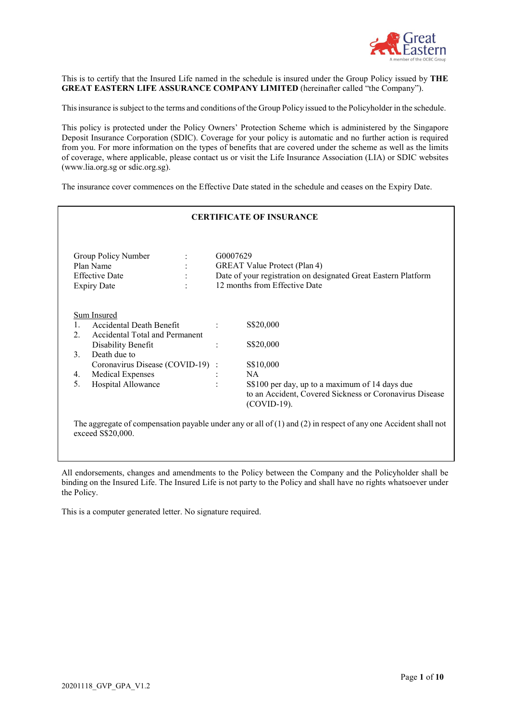

This is to certify that the Insured Life named in the schedule is insured under the Group Policy issued by **THE GREAT EASTERN LIFE ASSURANCE COMPANY LIMITED** (hereinafter called "the Company").

Thisinsurance is subject to the terms and conditions of the Group Policy issued to the Policyholder in the schedule.

This policy is protected under the Policy Owners' Protection Scheme which is administered by the Singapore Deposit Insurance Corporation (SDIC). Coverage for your policy is automatic and no further action is required from you. For more information on the types of benefits that are covered under the scheme as well as the limits of coverage, where applicable, please contact us or visit the Life Insurance Association (LIA) or SDIC websites [\(www.lia.org.sg o](http://www.lia.org.sg/)r sdic.org.sg).

The insurance cover commences on the Effective Date stated in the schedule and ceases on the Expiry Date.

| <b>CERTIFICATE OF INSURANCE</b> |                                                                                              |                |                                                                                                                                                    |
|---------------------------------|----------------------------------------------------------------------------------------------|----------------|----------------------------------------------------------------------------------------------------------------------------------------------------|
|                                 | Group Policy Number<br>Plan Name<br><b>Effective Date</b><br>$\bullet$<br><b>Expiry Date</b> |                | G0007629<br><b>GREAT Value Protect (Plan 4)</b><br>Date of your registration on designated Great Eastern Platform<br>12 months from Effective Date |
| Sum Insured                     |                                                                                              |                |                                                                                                                                                    |
|                                 | Accidental Death Benefit                                                                     | $\ddot{\cdot}$ | S\$20,000                                                                                                                                          |
| 2.                              | Accidental Total and Permanent                                                               |                |                                                                                                                                                    |
|                                 | Disability Benefit                                                                           | $\ddot{\cdot}$ | S\$20,000                                                                                                                                          |
| 3.                              | Death due to                                                                                 |                |                                                                                                                                                    |
|                                 | Coronavirus Disease (COVID-19) :                                                             |                | S\$10,000                                                                                                                                          |
| 4.                              | <b>Medical Expenses</b>                                                                      |                | NA                                                                                                                                                 |
| 5.                              | Hospital Allowance                                                                           |                | S\$100 per day, up to a maximum of 14 days due<br>to an Accident, Covered Sickness or Coronavirus Disease<br>(COVID-19).                           |
|                                 |                                                                                              |                |                                                                                                                                                    |

The aggregate of compensation payable under any or all of (1) and (2) in respect of any one Accident shall not exceed S\$20,000.

All endorsements, changes and amendments to the Policy between the Company and the Policyholder shall be binding on the Insured Life. The Insured Life is not party to the Policy and shall have no rights whatsoever under the Policy.

This is a computer generated letter. No signature required.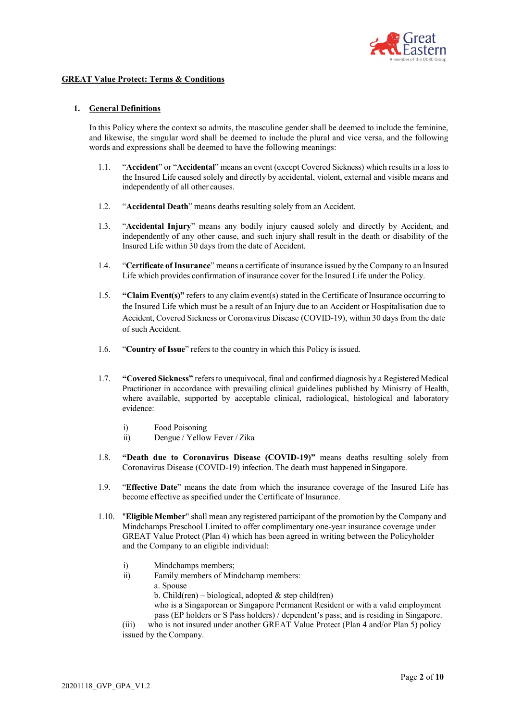

## **GREAT Value Protect: Terms & Conditions**

## **1. General Definitions**

In this Policy where the context so admits, the masculine gender shall be deemed to include the feminine, and likewise, the singular word shall be deemed to include the plural and vice versa, and the following words and expressions shall be deemed to have the following meanings:

- 1.1. "**Accident**" or "**Accidental**" means an event (except Covered Sickness) which results in a loss to the Insured Life caused solely and directly by accidental, violent, external and visible means and independently of all other causes.
- 1.2. "**Accidental Death**" means deaths resulting solely from an Accident.
- 1.3. "**Accidental Injury**" means any bodily injury caused solely and directly by Accident, and independently of any other cause, and such injury shall result in the death or disability of the Insured Life within 30 days from the date of Accident.
- 1.4. "**Certificate of Insurance**" means a certificate of insurance issued by the Company to an Insured Life which provides confirmation of insurance cover for the Insured Life under the Policy.
- 1.5. **"Claim Event(s)"** refers to any claim event(s) stated in the Certificate of Insurance occurring to the Insured Life which must be a result of an Injury due to an Accident or Hospitalisation due to Accident, Covered Sickness or Coronavirus Disease (COVID-19), within 30 days from the date of such Accident.
- 1.6. "**Country of Issue**" refers to the country in which this Policy is issued.
- 1.7. **"Covered Sickness"** refersto unequivocal, final and confirmed diagnosis by a Registered Medical Practitioner in accordance with prevailing clinical guidelines published by Ministry of Health, where available, supported by acceptable clinical, radiological, histological and laboratory evidence:
	- i) Food Poisoning
	- ii) Dengue / Yellow Fever / Zika
- 1.8. **"Death due to Coronavirus Disease (COVID-19)"** means deaths resulting solely from Coronavirus Disease (COVID-19) infection. The death must happened inSingapore.
- 1.9. "**Effective Date**" means the date from which the insurance coverage of the Insured Life has become effective as specified under the Certificate of Insurance.
- 1.10. "**Eligible Member**" shall mean any registered participant of the promotion by the Company and Mindchamps Preschool Limited to offer complimentary one-year insurance coverage under GREAT Value Protect (Plan 4) which has been agreed in writing between the Policyholder and the Company to an eligible individual:
	- i) Mindchamps members;
	- ii) Family members of Mindchamp members:
		- a. Spouse
		- b. Child(ren) biological, adopted  $\&$  step child(ren)

who is a Singaporean or Singapore Permanent Resident or with a valid employment pass (EP holders or S Pass holders) / dependent's pass; and is residing in Singapore.

(iii) who is not insured under another GREAT Value Protect (Plan 4 and/or Plan 5) policy issued by the Company.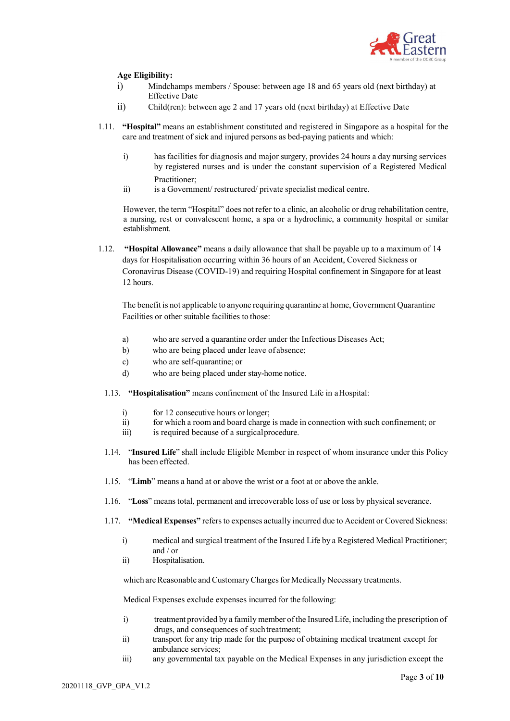

# **Age Eligibility:**

- i) Mindchamps members / Spouse: between age 18 and 65 years old (next birthday) at Effective Date
- ii) Child(ren): between age 2 and 17 years old (next birthday) at Effective Date
- 1.11. **"Hospital"** means an establishment constituted and registered in Singapore as a hospital for the care and treatment of sick and injured persons as bed-paying patients and which:
	- i) has facilities for diagnosis and major surgery, provides 24 hours a day nursing services by registered nurses and is under the constant supervision of a Registered Medical Practitioner;
	- ii) is a Government/ restructured/ private specialist medical centre.

However, the term "Hospital" does not refer to a clinic, an alcoholic or drug rehabilitation centre, a nursing, rest or convalescent home, a spa or a hydroclinic, a community hospital or similar establishment.

1.12. **"Hospital Allowance"** means a daily allowance that shall be payable up to a maximum of 14 days for Hospitalisation occurring within 36 hours of an Accident, Covered Sickness or Coronavirus Disease (COVID-19) and requiring Hospital confinement in Singapore for at least 12 hours.

The benefit is not applicable to anyone requiring quarantine at home, Government Quarantine Facilities or other suitable facilities to those:

- a) who are served a quarantine order under the Infectious Diseases Act;
- b) who are being placed under leave of absence;
- c) who are self-quarantine; or
- d) who are being placed under stay-home notice.
- 1.13. **"Hospitalisation"** means confinement of the Insured Life in aHospital:
	- i) for 12 consecutive hours or longer;
	- ii) for which a room and board charge is made in connection with such confinement; or
	- iii) is required because of a surgical procedure.
- 1.14. "**Insured Life**" shall include Eligible Member in respect of whom insurance under this Policy has been effected.
- 1.15. "**Limb**" means a hand at or above the wrist or a foot at or above the ankle.
- 1.16. "**Loss**" means total, permanent and irrecoverable loss of use or loss by physical severance.
- 1.17. **"Medical Expenses"** refersto expenses actually incurred due to Accident or Covered Sickness:
	- i) medical and surgical treatment of the Insured Life by a Registered Medical Practitioner; and / or
	- ii) Hospitalisation.

which are Reasonable and Customary Charges for Medically Necessary treatments.

Medical Expenses exclude expenses incurred for the following:

- i) treatment provided by a family member ofthe Insured Life, including the prescription of drugs, and consequences of suchtreatment;
- ii) transport for any trip made for the purpose of obtaining medical treatment except for ambulance services;
- iii) any governmental tax payable on the Medical Expenses in any jurisdiction except the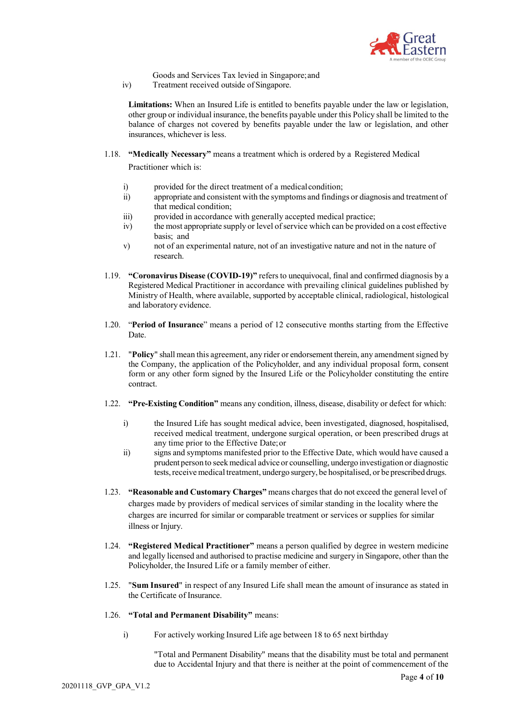

- Goods and Services Tax levied in Singapore;and
- iv) Treatment received outside of Singapore.

**Limitations:** When an Insured Life is entitled to benefits payable under the law or legislation, other group or individual insurance, the benefits payable under this Policy shall be limited to the balance of charges not covered by benefits payable under the law or legislation, and other insurances, whichever is less.

1.18. **"Medically Necessary"** means a treatment which is ordered by a Registered Medical

Practitioner which is:

- i) provided for the direct treatment of a medicalcondition;
- ii) appropriate and consistent with the symptoms and findings or diagnosis and treatment of that medical condition;
- iii) provided in accordance with generally accepted medical practice;
- iv) the most appropriate supply or level of service which can be provided on a cost effective basis; and
- v) not of an experimental nature, not of an investigative nature and not in the nature of research.
- 1.19. **"Coronavirus Disease (COVID-19)"** refers to unequivocal, final and confirmed diagnosis by a Registered Medical Practitioner in accordance with prevailing clinical guidelines published by Ministry of Health, where available, supported by acceptable clinical, radiological, histological and laboratory evidence.
- 1.20. "**Period of Insurance**" means a period of 12 consecutive months starting from the Effective Date.
- 1.21. "**Policy**" shall mean this agreement, any rider or endorsement therein, any amendmentsigned by the Company, the application of the Policyholder, and any individual proposal form, consent form or any other form signed by the Insured Life or the Policyholder constituting the entire contract.
- 1.22. **"Pre-Existing Condition"** means any condition, illness, disease, disability or defect for which:
	- i) the Insured Life has sought medical advice, been investigated, diagnosed, hospitalised, received medical treatment, undergone surgical operation, or been prescribed drugs at any time prior to the Effective Date;or
	- ii) signs and symptoms manifested prior to the Effective Date, which would have caused a prudent person to seekmedical advice or counselling, undergo investigation or diagnostic tests, receive medical treatment, undergo surgery, be hospitalised, or be prescribed drugs.
- 1.23. **"Reasonable and Customary Charges"** means chargesthat do not exceed the general level of charges made by providers of medical services of similar standing in the locality where the charges are incurred for similar or comparable treatment or services or supplies for similar illness or Injury.
- 1.24. **"Registered Medical Practitioner"** means a person qualified by degree in western medicine and legally licensed and authorised to practise medicine and surgery in Singapore, other than the Policyholder, the Insured Life or a family member of either.
- 1.25. "**Sum Insured**" in respect of any Insured Life shall mean the amount of insurance as stated in the Certificate of Insurance.
- 1.26. **"Total and Permanent Disability"** means:
	- i) For actively working Insured Life age between 18 to 65 next birthday

"Total and Permanent Disability" means that the disability must be total and permanent due to Accidental Injury and that there is neither at the point of commencement of the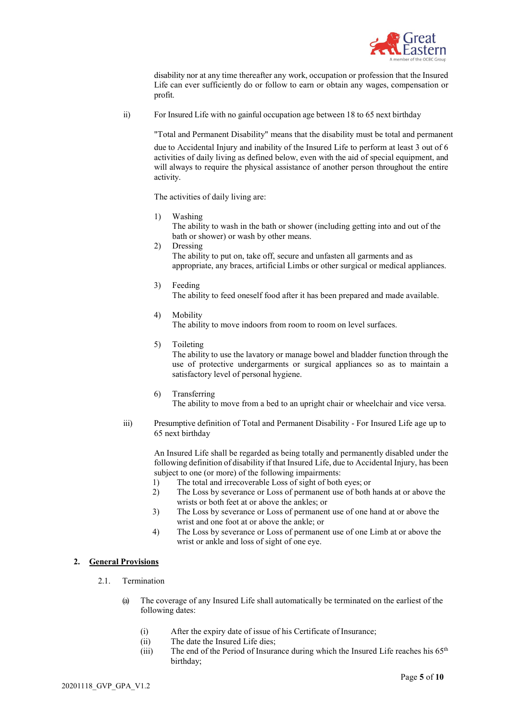

disability nor at any time thereafter any work, occupation or profession that the Insured Life can ever sufficiently do or follow to earn or obtain any wages, compensation or profit.

ii) For Insured Life with no gainful occupation age between 18 to 65 next birthday

"Total and Permanent Disability" means that the disability must be total and permanent

due to Accidental Injury and inability of the Insured Life to perform at least 3 out of 6 activities of daily living as defined below, even with the aid of special equipment, and will always to require the physical assistance of another person throughout the entire activity.

The activities of daily living are:

- 1) Washing The ability to wash in the bath or shower (including getting into and out of the bath or shower) or wash by other means.
- 2) Dressing The ability to put on, take off, secure and unfasten all garments and as appropriate, any braces, artificial Limbs or other surgical or medical appliances.
- 3) Feeding

The ability to feed oneself food after it has been prepared and made available.

- 4) Mobility The ability to move indoors from room to room on level surfaces.
- 5) Toileting

The ability to use the lavatory or manage bowel and bladder function through the use of protective undergarments or surgical appliances so as to maintain a satisfactory level of personal hygiene.

- 6) Transferring The ability to move from a bed to an upright chair or wheelchair and vice versa.
- iii) Presumptive definition of Total and Permanent Disability For Insured Life age up to 65 next birthday

An Insured Life shall be regarded as being totally and permanently disabled under the following definition of disability if that Insured Life, due to Accidental Injury, has been subject to one (or more) of the following impairments:

- 1) The total and irrecoverable Loss of sight of both eyes; or
- 2) The Loss by severance or Loss of permanent use of both hands at or above the wrists or both feet at or above the ankles; or
- 3) The Loss by severance or Loss of permanent use of one hand at or above the wrist and one foot at or above the ankle; or
- 4) The Loss by severance or Loss of permanent use of one Limb at or above the wrist or ankle and loss of sight of one eye.

## **2. General Provisions**

- 2.1. Termination
	- (a) The coverage of any Insured Life shall automatically be terminated on the earliest of the following dates:
		- (i) After the expiry date of issue of his Certificate of Insurance;
		- (ii) The date the Insured Life dies;
		- (iii) The end of the Period of Insurance during which the Insured Life reaches his  $65<sup>th</sup>$ birthday;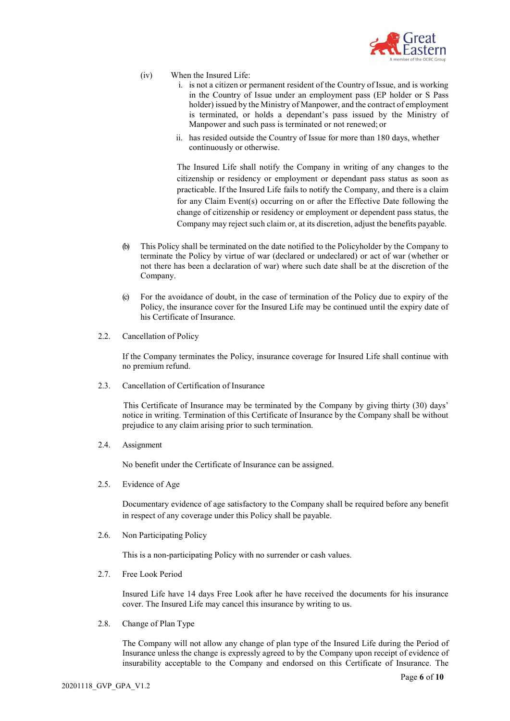

- (iv) When the Insured Life:
	- i. is not a citizen or permanent resident of the Country of Issue, and is working in the Country of Issue under an employment pass (EP holder or S Pass holder) issued by the Ministry of Manpower, and the contract of employment is terminated, or holds a dependant's pass issued by the Ministry of Manpower and such pass is terminated or not renewed; or
	- ii. has resided outside the Country of Issue for more than 180 days, whether continuously or otherwise.

The Insured Life shall notify the Company in writing of any changes to the citizenship or residency or employment or dependant pass status as soon as practicable. If the Insured Life fails to notify the Company, and there is a claim for any Claim Event(s) occurring on or after the Effective Date following the change of citizenship or residency or employment or dependent pass status, the Company may reject such claim or, at its discretion, adjust the benefits payable.

- (b) This Policy shall be terminated on the date notified to the Policyholder by the Company to terminate the Policy by virtue of war (declared or undeclared) or act of war (whether or not there has been a declaration of war) where such date shall be at the discretion of the Company.
- (c) For the avoidance of doubt, in the case of termination of the Policy due to expiry of the Policy, the insurance cover for the Insured Life may be continued until the expiry date of his Certificate of Insurance.
- 2.2. Cancellation of Policy

If the Company terminates the Policy, insurance coverage for Insured Life shall continue with no premium refund.

2.3. Cancellation of Certification of Insurance

This Certificate of Insurance may be terminated by the Company by giving thirty (30) days' notice in writing. Termination of this Certificate of Insurance by the Company shall be without prejudice to any claim arising prior to such termination.

2.4. Assignment

No benefit under the Certificate of Insurance can be assigned.

2.5. Evidence of Age

Documentary evidence of age satisfactory to the Company shall be required before any benefit in respect of any coverage under this Policy shall be payable.

2.6. Non Participating Policy

This is a non-participating Policy with no surrender or cash values.

2.7. Free Look Period

Insured Life have 14 days Free Look after he have received the documents for his insurance cover. The Insured Life may cancel this insurance by writing to us.

2.8. Change of Plan Type

The Company will not allow any change of plan type of the Insured Life during the Period of Insurance unless the change is expressly agreed to by the Company upon receipt of evidence of insurability acceptable to the Company and endorsed on this Certificate of Insurance. The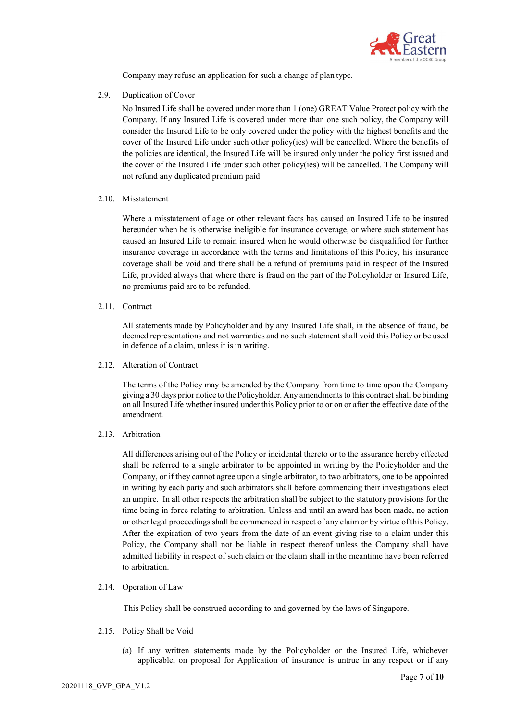

Company may refuse an application for such a change of plan type.

2.9. Duplication of Cover

No Insured Life shall be covered under more than 1 (one) GREAT Value Protect policy with the Company. If any Insured Life is covered under more than one such policy, the Company will consider the Insured Life to be only covered under the policy with the highest benefits and the cover of the Insured Life under such other policy(ies) will be cancelled. Where the benefits of the policies are identical, the Insured Life will be insured only under the policy first issued and the cover of the Insured Life under such other policy(ies) will be cancelled. The Company will not refund any duplicated premium paid.

2.10. Misstatement

Where a misstatement of age or other relevant facts has caused an Insured Life to be insured hereunder when he is otherwise ineligible for insurance coverage, or where such statement has caused an Insured Life to remain insured when he would otherwise be disqualified for further insurance coverage in accordance with the terms and limitations of this Policy, his insurance coverage shall be void and there shall be a refund of premiums paid in respect of the Insured Life, provided always that where there is fraud on the part of the Policyholder or Insured Life, no premiums paid are to be refunded.

2.11. Contract

All statements made by Policyholder and by any Insured Life shall, in the absence of fraud, be deemed representations and not warranties and no such statement shall void this Policy or be used in defence of a claim, unless it is in writing.

2.12. Alteration of Contract

The terms of the Policy may be amended by the Company from time to time upon the Company giving a 30 days prior notice to the Policyholder. Any amendmentsto this contractshall be binding on all Insured Life whether insured under this Policy prior to or on or after the effective date of the amendment.

2.13. Arbitration

All differences arising out of the Policy or incidental thereto or to the assurance hereby effected shall be referred to a single arbitrator to be appointed in writing by the Policyholder and the Company, or if they cannot agree upon a single arbitrator, to two arbitrators, one to be appointed in writing by each party and such arbitrators shall before commencing their investigations elect an umpire. In all other respects the arbitration shall be subject to the statutory provisions for the time being in force relating to arbitration. Unless and until an award has been made, no action or other legal proceedings shall be commenced in respect of any claim or by virtue of this Policy. After the expiration of two years from the date of an event giving rise to a claim under this Policy, the Company shall not be liable in respect thereof unless the Company shall have admitted liability in respect of such claim or the claim shall in the meantime have been referred to arbitration.

2.14. Operation of Law

This Policy shall be construed according to and governed by the laws of Singapore.

- 2.15. Policy Shall be Void
	- (a) If any written statements made by the Policyholder or the Insured Life, whichever applicable, on proposal for Application of insurance is untrue in any respect or if any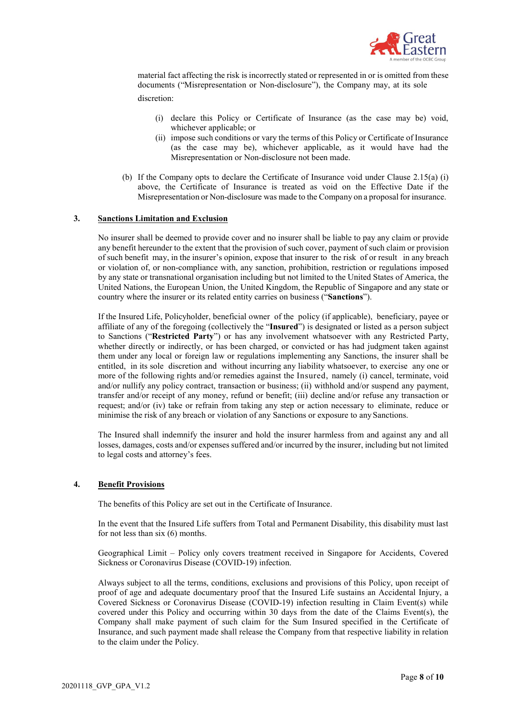

material fact affecting the risk is incorrectly stated or represented in or is omitted from these documents ("Misrepresentation or Non-disclosure"), the Company may, at its sole discretion:

- (i) declare this Policy or Certificate of Insurance (as the case may be) void, whichever applicable; or
- (ii) impose such conditions or vary the terms of this Policy or Certificate of Insurance (as the case may be), whichever applicable, as it would have had the Misrepresentation or Non-disclosure not been made.
- (b) If the Company opts to declare the Certificate of Insurance void under Clause 2.15(a) (i) above, the Certificate of Insurance is treated as void on the Effective Date if the Misrepresentation or Non-disclosure was made to the Company on a proposal for insurance.

## **3. Sanctions Limitation and Exclusion**

No insurer shall be deemed to provide cover and no insurer shall be liable to pay any claim or provide any benefit hereunder to the extent that the provision of such cover, payment of such claim or provision of such benefit may, in the insurer's opinion, expose that insurer to the risk of or result in any breach or violation of, or non-compliance with, any sanction, prohibition, restriction or regulations imposed by any state or transnational organisation including but not limited to the United States of America, the United Nations, the European Union, the United Kingdom, the Republic of Singapore and any state or country where the insurer or its related entity carries on business ("**Sanctions**").

If the Insured Life, Policyholder, beneficial owner of the policy (if applicable), beneficiary, payee or affiliate of any of the foregoing (collectively the "**Insured**") is designated or listed as a person subject to Sanctions ("**Restricted Party**") or has any involvement whatsoever with any Restricted Party, whether directly or indirectly, or has been charged, or convicted or has had judgment taken against them under any local or foreign law or regulations implementing any Sanctions, the insurer shall be entitled, in its sole discretion and without incurring any liability whatsoever, to exercise any one or more of the following rights and/or remedies against the Insured, namely (i) cancel, terminate, void and/or nullify any policy contract, transaction or business; (ii) withhold and/or suspend any payment, transfer and/or receipt of any money, refund or benefit; (iii) decline and/or refuse any transaction or request; and/or (iv) take or refrain from taking any step or action necessary to eliminate, reduce or minimise the risk of any breach or violation of any Sanctions or exposure to any Sanctions.

The Insured shall indemnify the insurer and hold the insurer harmless from and against any and all losses, damages, costs and/or expenses suffered and/or incurred by the insurer, including but not limited to legal costs and attorney's fees.

#### **4. Benefit Provisions**

The benefits of this Policy are set out in the Certificate of Insurance.

In the event that the Insured Life suffers from Total and Permanent Disability, this disability must last for not less than six (6) months.

Geographical Limit – Policy only covers treatment received in Singapore for Accidents, Covered Sickness or Coronavirus Disease (COVID-19) infection.

Always subject to all the terms, conditions, exclusions and provisions of this Policy, upon receipt of proof of age and adequate documentary proof that the Insured Life sustains an Accidental Injury, a Covered Sickness or Coronavirus Disease (COVID-19) infection resulting in Claim Event(s) while covered under this Policy and occurring within 30 days from the date of the Claims Event(s), the Company shall make payment of such claim for the Sum Insured specified in the Certificate of Insurance, and such payment made shall release the Company from that respective liability in relation to the claim under the Policy.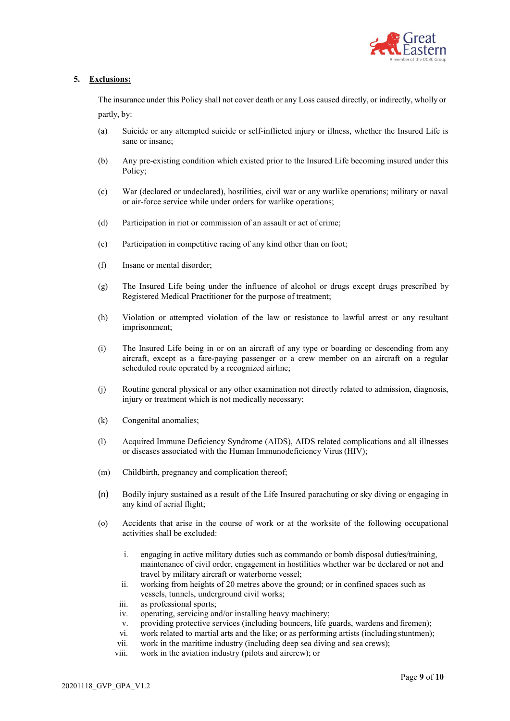

# **5. Exclusions:**

The insurance under this Policy shall not cover death or any Loss caused directly, or indirectly, wholly or partly, by:

- (a) Suicide or any attempted suicide or self-inflicted injury or illness, whether the Insured Life is sane or insane;
- (b) Any pre-existing condition which existed prior to the Insured Life becoming insured under this Policy;
- (c) War (declared or undeclared), hostilities, civil war or any warlike operations; military or naval or air-force service while under orders for warlike operations;
- (d) Participation in riot or commission of an assault or act of crime;
- (e) Participation in competitive racing of any kind other than on foot;
- (f) Insane or mental disorder;
- (g) The Insured Life being under the influence of alcohol or drugs except drugs prescribed by Registered Medical Practitioner for the purpose of treatment;
- (h) Violation or attempted violation of the law or resistance to lawful arrest or any resultant imprisonment;
- (i) The Insured Life being in or on an aircraft of any type or boarding or descending from any aircraft, except as a fare-paying passenger or a crew member on an aircraft on a regular scheduled route operated by a recognized airline;
- (j) Routine general physical or any other examination not directly related to admission, diagnosis, injury or treatment which is not medically necessary;
- (k) Congenital anomalies;
- (l) Acquired Immune Deficiency Syndrome (AIDS), AIDS related complications and all illnesses or diseases associated with the Human Immunodeficiency Virus (HIV);
- (m) Childbirth, pregnancy and complication thereof;
- (n) Bodily injury sustained as a result of the Life Insured parachuting or sky diving or engaging in any kind of aerial flight;
- (o) Accidents that arise in the course of work or at the worksite of the following occupational activities shall be excluded:
	- i. engaging in active military duties such as commando or bomb disposal duties/training, maintenance of civil order, engagement in hostilities whether war be declared or not and travel by military aircraft or waterborne vessel;
	- ii. working from heights of 20 metres above the ground; or in confined spaces such as vessels, tunnels, underground civil works;
	- iii. as professional sports;
	- iv. operating, servicing and/or installing heavy machinery;
	- v. providing protective services (including bouncers, life guards, wardens and firemen);
	- vi. work related to martial arts and the like; or as performing artists (including stuntmen);
	- vii. work in the maritime industry (including deep sea diving and sea crews);
	- viii. work in the aviation industry (pilots and aircrew); or